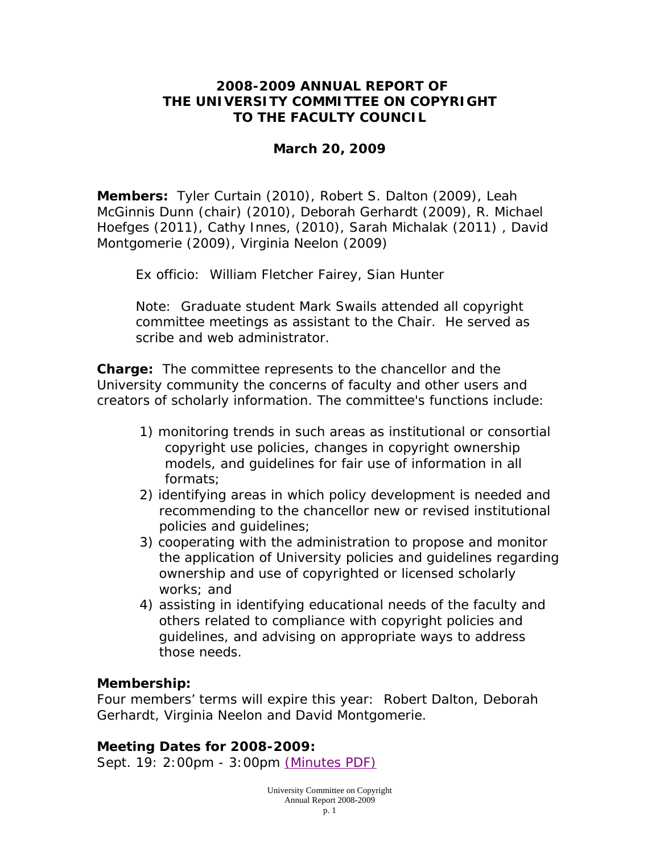### **2008-2009 ANNUAL REPORT OF THE UNIVERSITY COMMITTEE ON COPYRIGHT TO THE FACULTY COUNCIL**

### **March 20, 2009**

**Members:** Tyler Curtain (2010), Robert S. Dalton (2009), Leah McGinnis Dunn (chair) (2010), Deborah Gerhardt (2009), R. Michael Hoefges (2011), Cathy Innes, (2010), Sarah Michalak (2011) , David Montgomerie (2009), Virginia Neelon (2009)

*Ex officio*: William Fletcher Fairey, Sian Hunter

Note: Graduate student Mark Swails attended all copyright committee meetings as assistant to the Chair. He served as scribe and web administrator.

**Charge:** The committee represents to the chancellor and the University community the concerns of faculty and other users and creators of scholarly information. The committee's functions include:

- 1) monitoring trends in such areas as institutional or consortial copyright use policies, changes in copyright ownership models, and guidelines for fair use of information in all formats;
- 2) identifying areas in which policy development is needed and recommending to the chancellor new or revised institutional policies and guidelines;
- 3) cooperating with the administration to propose and monitor the application of University policies and guidelines regarding ownership and use of copyrighted or licensed scholarly works; and
- 4) assisting in identifying educational needs of the faculty and others related to compliance with copyright policies and guidelines, and advising on appropriate ways to address those needs.

### **Membership:**

Four members' terms will expire this year: Robert Dalton, Deborah Gerhardt, Virginia Neelon and David Montgomerie.

### **Meeting Dates for 2008-2009:**

Sept. 19: 2:00pm - 3:00pm (Minutes PDF)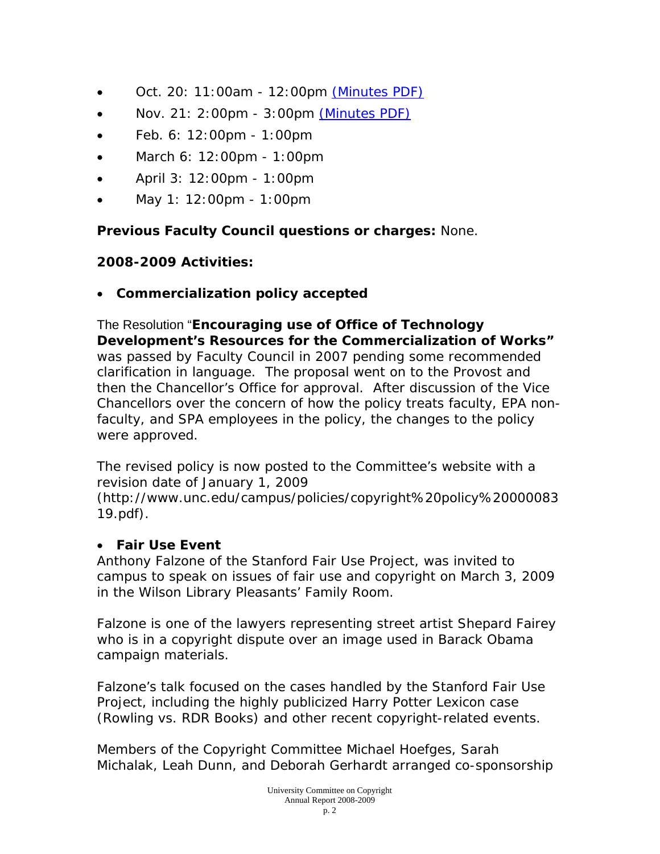- Oct. 20: 11:00am 12:00pm (Minutes PDF)
- Nov. 21:  $2:00 \text{pm}$   $3:00 \text{pm}$  (Minutes PDF)
- Feb. 6: 12:00pm 1:00pm
- March 6: 12:00pm 1:00pm
- April 3: 12:00pm 1:00pm
- May 1: 12:00pm 1:00pm

**Previous Faculty Council questions or charges:** None.

## **2008-2009 Activities:**

• **Commercialization policy accepted** 

The Resolution "**Encouraging use of Office of Technology Development's Resources for the Commercialization of Works"**  was passed by Faculty Council in 2007 pending some recommended clarification in language. The proposal went on to the Provost and then the Chancellor's Office for approval. After discussion of the Vice Chancellors over the concern of how the policy treats faculty, EPA nonfaculty, and SPA employees in the policy, the changes to the policy were approved.

The revised policy is now posted to the Committee's website with a revision date of January 1, 2009

(http://www.unc.edu/campus/policies/copyright%20policy%20000083 19.pdf).

# • **Fair Use Event**

Anthony Falzone of the Stanford Fair Use Project, was invited to campus to speak on issues of fair use and copyright on March 3, 2009 in the Wilson Library Pleasants' Family Room.

Falzone is one of the lawyers representing street artist Shepard Fairey who is in a copyright dispute over an image used in Barack Obama campaign materials.

Falzone's talk focused on the cases handled by the Stanford Fair Use Project, including the highly publicized Harry Potter Lexicon case (Rowling vs. RDR Books) and other recent copyright-related events.

Members of the Copyright Committee Michael Hoefges, Sarah Michalak, Leah Dunn, and Deborah Gerhardt arranged co-sponsorship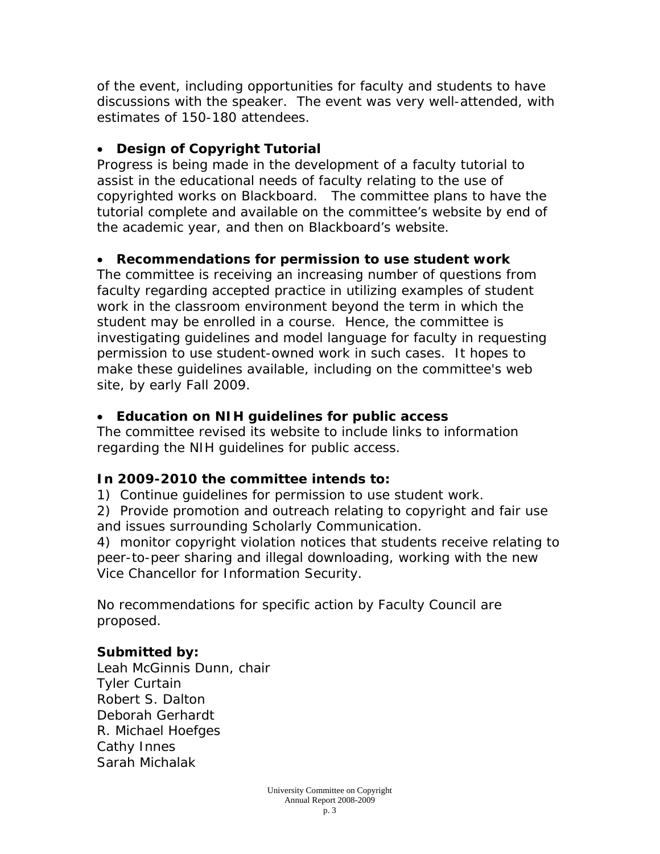of the event, including opportunities for faculty and students to have discussions with the speaker. The event was very well-attended, with estimates of 150-180 attendees.

## • **Design of Copyright Tutorial**

Progress is being made in the development of a faculty tutorial to assist in the educational needs of faculty relating to the use of copyrighted works on Blackboard. The committee plans to have the tutorial complete and available on the committee's website by end of the academic year, and then on Blackboard's website.

# • **Recommendations for permission to use student work**

The committee is receiving an increasing number of questions from faculty regarding accepted practice in utilizing examples of student work in the classroom environment beyond the term in which the student may be enrolled in a course. Hence, the committee is investigating guidelines and model language for faculty in requesting permission to use student-owned work in such cases. It hopes to make these guidelines available, including on the committee's web site, by early Fall 2009.

# • **Education on NIH guidelines for public access**

The committee revised its website to include links to information regarding the NIH guidelines for public access.

# **In 2009-2010 the committee intends to:**

1) Continue guidelines for permission to use student work.

2) Provide promotion and outreach relating to copyright and fair use and issues surrounding Scholarly Communication.

4) monitor copyright violation notices that students receive relating to peer-to-peer sharing and illegal downloading, working with the new Vice Chancellor for Information Security.

No recommendations for specific action by Faculty Council are proposed.

# **Submitted by:**

Leah McGinnis Dunn, chair Tyler Curtain Robert S. Dalton Deborah Gerhardt R. Michael Hoefges Cathy Innes Sarah Michalak